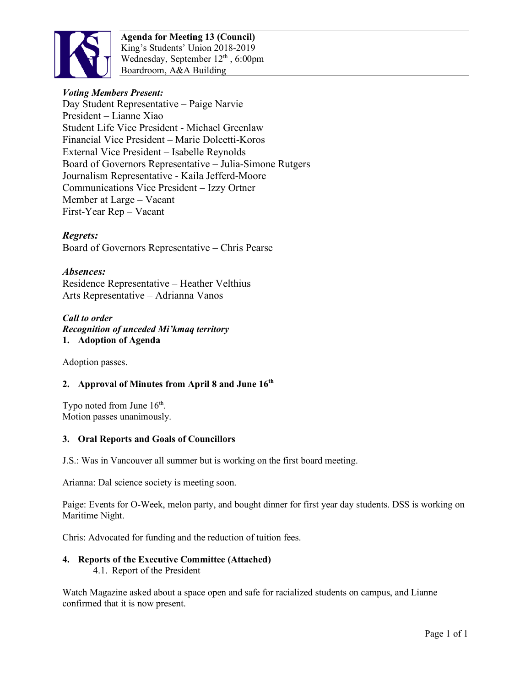

**Agenda for Meeting 13 (Council)** King's Students' Union 2018-2019 Wednesday, September  $12<sup>th</sup>$ , 6:00pm Boardroom, A&A Building

# *Voting Members Present:*

Day Student Representative – Paige Narvie President – Lianne Xiao Student Life Vice President - Michael Greenlaw Financial Vice President – Marie Dolcetti-Koros External Vice President – Isabelle Reynolds Board of Governors Representative – Julia-Simone Rutgers Journalism Representative - Kaila Jefferd-Moore Communications Vice President – Izzy Ortner Member at Large – Vacant First-Year Rep – Vacant

## *Regrets:*

Board of Governors Representative – Chris Pearse

## *Absences:*

Residence Representative – Heather Velthius Arts Representative – Adrianna Vanos

#### *Call to order Recognition of unceded Mi'kmaq territory*  **1. Adoption of Agenda**

Adoption passes.

## **2. Approval of Minutes from April 8 and June 16th**

Typo noted from June  $16<sup>th</sup>$ . Motion passes unanimously.

## **3. Oral Reports and Goals of Councillors**

J.S.: Was in Vancouver all summer but is working on the first board meeting.

Arianna: Dal science society is meeting soon.

Paige: Events for O-Week, melon party, and bought dinner for first year day students. DSS is working on Maritime Night.

Chris: Advocated for funding and the reduction of tuition fees.

## **4. Reports of the Executive Committee (Attached)**

4.1. Report of the President

Watch Magazine asked about a space open and safe for racialized students on campus, and Lianne confirmed that it is now present.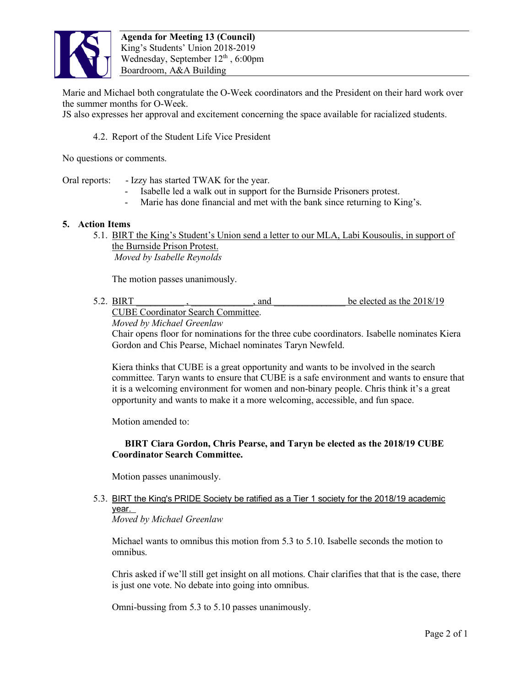

Marie and Michael both congratulate the O-Week coordinators and the President on their hard work over the summer months for O-Week.

JS also expresses her approval and excitement concerning the space available for racialized students.

4.2. Report of the Student Life Vice President

No questions or comments.

Oral reports: - Izzy has started TWAK for the year.

- Isabelle led a walk out in support for the Burnside Prisoners protest.
- Marie has done financial and met with the bank since returning to King's.

#### **5. Action Items**

5.1. BIRT the King's Student's Union send a letter to our MLA, Labi Kousoulis, in support of the Burnside Prison Protest. *Moved by Isabelle Reynolds*

The motion passes unanimously.

5.2. BIRT FOR A state of the state of the state of the elected as the 2018/19 CUBE Coordinator Search Committee.

*Moved by Michael Greenlaw* 

Chair opens floor for nominations for the three cube coordinators. Isabelle nominates Kiera Gordon and Chis Pearse, Michael nominates Taryn Newfeld.

Kiera thinks that CUBE is a great opportunity and wants to be involved in the search committee. Taryn wants to ensure that CUBE is a safe environment and wants to ensure that it is a welcoming environment for women and non-binary people. Chris think it's a great opportunity and wants to make it a more welcoming, accessible, and fun space.

Motion amended to:

## **BIRT Ciara Gordon, Chris Pearse, and Taryn be elected as the 2018/19 CUBE Coordinator Search Committee.**

Motion passes unanimously.

5.3. BIRT the King's PRIDE Society be ratified as a Tier 1 society for the 2018/19 academic year.

*Moved by Michael Greenlaw*

Michael wants to omnibus this motion from 5.3 to 5.10. Isabelle seconds the motion to omnibus.

Chris asked if we'll still get insight on all motions. Chair clarifies that that is the case, there is just one vote. No debate into going into omnibus.

Omni-bussing from 5.3 to 5.10 passes unanimously.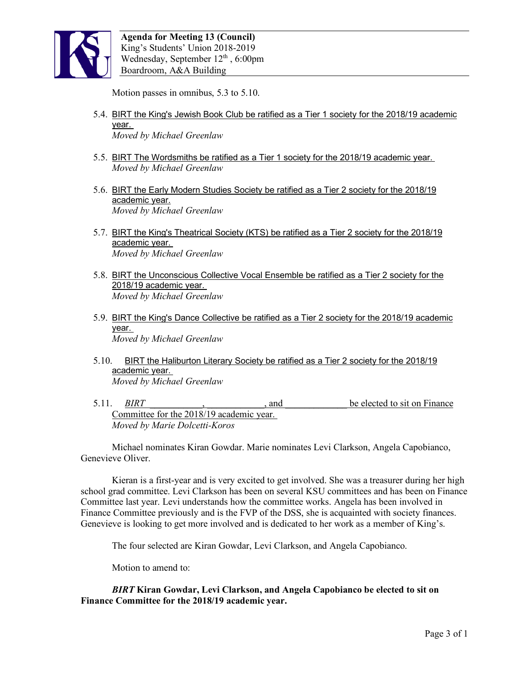

Motion passes in omnibus, 5.3 to 5.10.

- 5.4. BIRT the King's Jewish Book Club be ratified as a Tier 1 society for the 2018/19 academic year. *Moved by Michael Greenlaw*
- 5.5. BIRT The Wordsmiths be ratified as a Tier 1 society for the 2018/19 academic year. *Moved by Michael Greenlaw*
- 5.6. BIRT the Early Modern Studies Society be ratified as a Tier 2 society for the 2018/19 academic year. *Moved by Michael Greenlaw*
- 5.7. BIRT the King's Theatrical Society (KTS) be ratified as a Tier 2 society for the 2018/19 academic year. *Moved by Michael Greenlaw*
- 5.8. BIRT the Unconscious Collective Vocal Ensemble be ratified as a Tier 2 society for the 2018/19 academic year. *Moved by Michael Greenlaw*
- 5.9. BIRT the King's Dance Collective be ratified as a Tier 2 society for the 2018/19 academic year. *Moved by Michael Greenlaw*
- 5.10. BIRT the Haliburton Literary Society be ratified as a Tier 2 society for the 2018/19 academic year. *Moved by Michael Greenlaw*
- 5.11. *BIRT* \_\_\_\_\_\_\_\_\_\_\_\_\_\_\_\_\_\_\_\_\_\_\_\_\_\_, and <u>be elected to sit on Finance</u> Committee for the 2018/19 academic year. *Moved by Marie Dolcetti-Koros*

Michael nominates Kiran Gowdar. Marie nominates Levi Clarkson, Angela Capobianco, Genevieve Oliver.

Kieran is a first-year and is very excited to get involved. She was a treasurer during her high school grad committee. Levi Clarkson has been on several KSU committees and has been on Finance Committee last year. Levi understands how the committee works. Angela has been involved in Finance Committee previously and is the FVP of the DSS, she is acquainted with society finances. Genevieve is looking to get more involved and is dedicated to her work as a member of King's.

The four selected are Kiran Gowdar, Levi Clarkson, and Angela Capobianco.

Motion to amend to:

*BIRT* **Kiran Gowdar, Levi Clarkson, and Angela Capobianco be elected to sit on Finance Committee for the 2018/19 academic year.**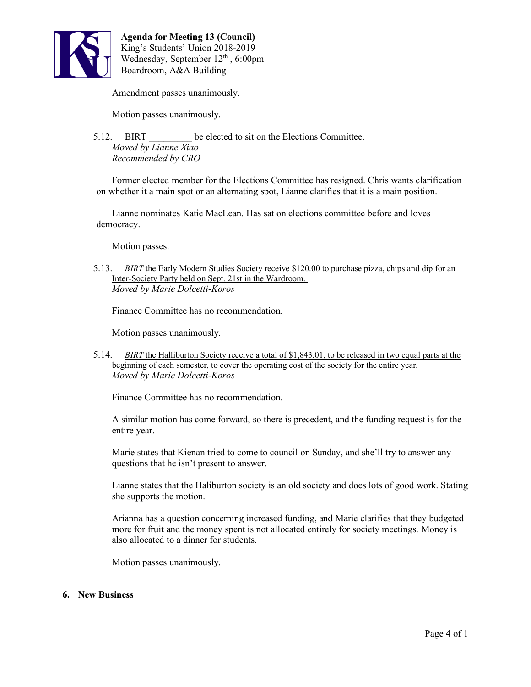

Amendment passes unanimously.

Motion passes unanimously.

5.12. BIRT be elected to sit on the Elections Committee. *Moved by Lianne Xiao Recommended by CRO*

Former elected member for the Elections Committee has resigned. Chris wants clarification on whether it a main spot or an alternating spot, Lianne clarifies that it is a main position.

Lianne nominates Katie MacLean. Has sat on elections committee before and loves democracy.

Motion passes.

5.13. *BIRT* the Early Modern Studies Society receive \$120.00 to purchase pizza, chips and dip for an Inter-Society Party held on Sept. 21st in the Wardroom. *Moved by Marie Dolcetti-Koros*

Finance Committee has no recommendation.

Motion passes unanimously.

5.14. *BIRT* the Halliburton Society receive a total of \$1,843.01, to be released in two equal parts at the beginning of each semester, to cover the operating cost of the society for the entire year. *Moved by Marie Dolcetti-Koros*

Finance Committee has no recommendation.

A similar motion has come forward, so there is precedent, and the funding request is for the entire year.

Marie states that Kienan tried to come to council on Sunday, and she'll try to answer any questions that he isn't present to answer.

Lianne states that the Haliburton society is an old society and does lots of good work. Stating she supports the motion.

Arianna has a question concerning increased funding, and Marie clarifies that they budgeted more for fruit and the money spent is not allocated entirely for society meetings. Money is also allocated to a dinner for students.

Motion passes unanimously.

#### **6. New Business**